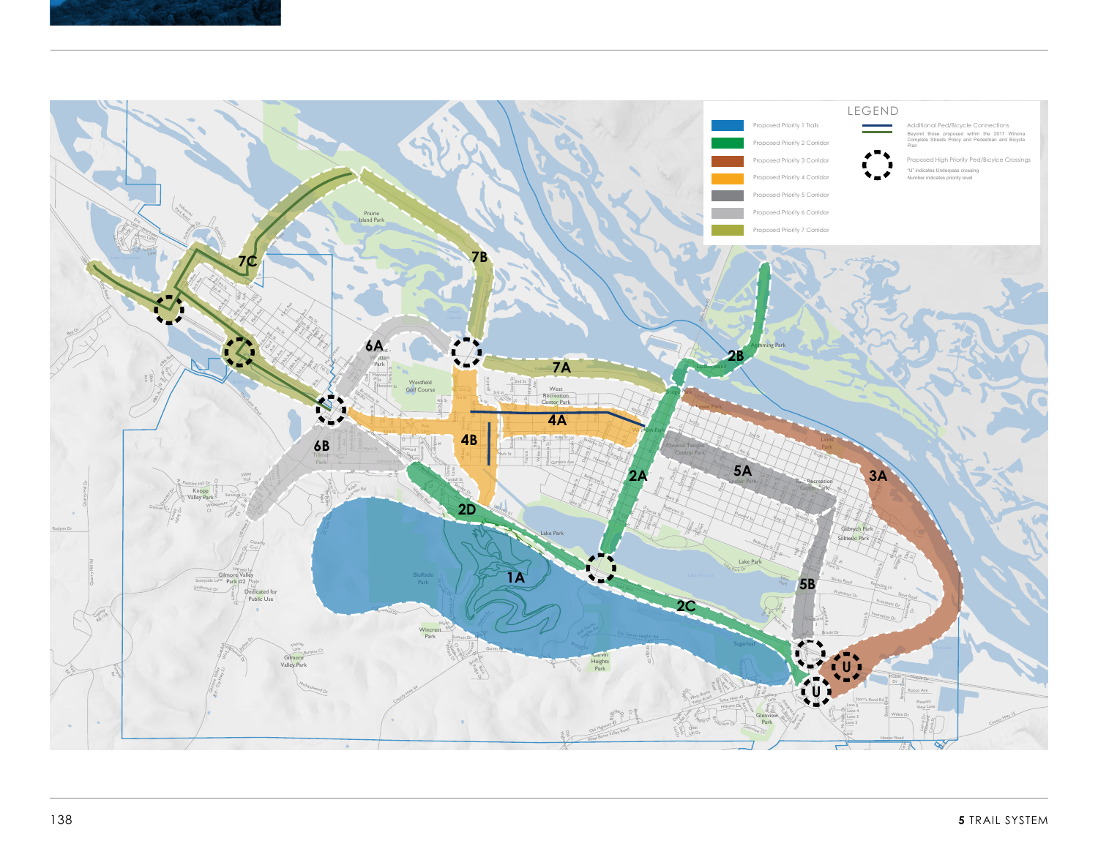



Wilson Twp 13

Treetops Lane

P<sup>a</sup>rk C<sup>t</sup>

East Burns Valley Road

Lane

Valleyview

 $\overline{\phantom{a}}$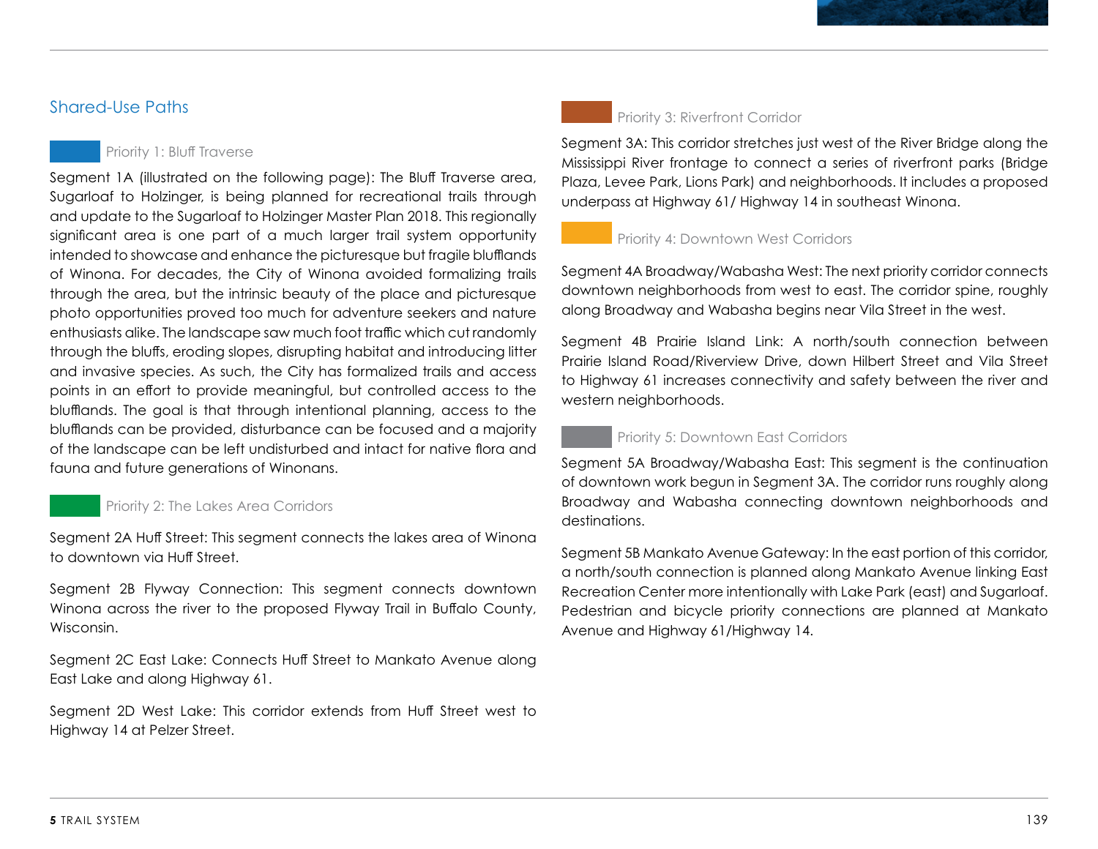# Shared-Use Paths

## Priority 1: Bluff Traverse

Segment 1A (illustrated on the following page): The Bluff Traverse area, Sugarloaf to Holzinger, is being planned for recreational trails through and update to the Sugarloaf to Holzinger Master Plan 2018. This regionally significant area is one part of a much larger trail system opportunity intended to showcase and enhance the picturesque but fragile blufflands of Winona. For decades, the City of Winona avoided formalizing trails through the area, but the intrinsic beauty of the place and picturesque photo opportunities proved too much for adventure seekers and nature enthusiasts alike. The landscape saw much foot traffic which cut randomly through the bluffs, eroding slopes, disrupting habitat and introducing litter and invasive species. As such, the City has formalized trails and access points in an effort to provide meaningful, but controlled access to the blufflands. The goal is that through intentional planning, access to the blufflands can be provided, disturbance can be focused and a majority of the landscape can be left undisturbed and intact for native flora and fauna and future generations of Winonans.

### Priority 2: The Lakes Area Corridors

Segment 2A Huff Street: This segment connects the lakes area of Winona to downtown via Huff Street.

Segment 2B Flyway Connection: This segment connects downtown Winona across the river to the proposed Flyway Trail in Buffalo County, Wisconsin.

Segment 2C East Lake: Connects Huff Street to Mankato Avenue along East Lake and along Highway 61.

Segment 2D West Lake: This corridor extends from Huff Street west to Highway 14 at Pelzer Street.



### Priority 3: Riverfront Corridor

Segment 3A: This corridor stretches just west of the River Bridge along the Mississippi River frontage to connect a series of riverfront parks (Bridge Plaza, Levee Park, Lions Park) and neighborhoods. It includes a proposed underpass at Highway 61/ Highway 14 in southeast Winona.

### Priority 4: Downtown West Corridors

Segment 4A Broadway/Wabasha West: The next priority corridor connects downtown neighborhoods from west to east. The corridor spine, roughly along Broadway and Wabasha begins near Vila Street in the west.

Segment 4B Prairie Island Link: A north/south connection between Prairie Island Road/Riverview Drive, down Hilbert Street and Vila Street to Highway 61 increases connectivity and safety between the river and western neighborhoods.

### Priority 5: Downtown East Corridors

Segment 5A Broadway/Wabasha East: This segment is the continuation of downtown work begun in Segment 3A. The corridor runs roughly along Broadway and Wabasha connecting downtown neighborhoods and destinations.

Segment 5B Mankato Avenue Gateway: In the east portion of this corridor, a north/south connection is planned along Mankato Avenue linking East Recreation Center more intentionally with Lake Park (east) and Sugarloaf. Pedestrian and bicycle priority connections are planned at Mankato Avenue and Highway 61/Highway 14.